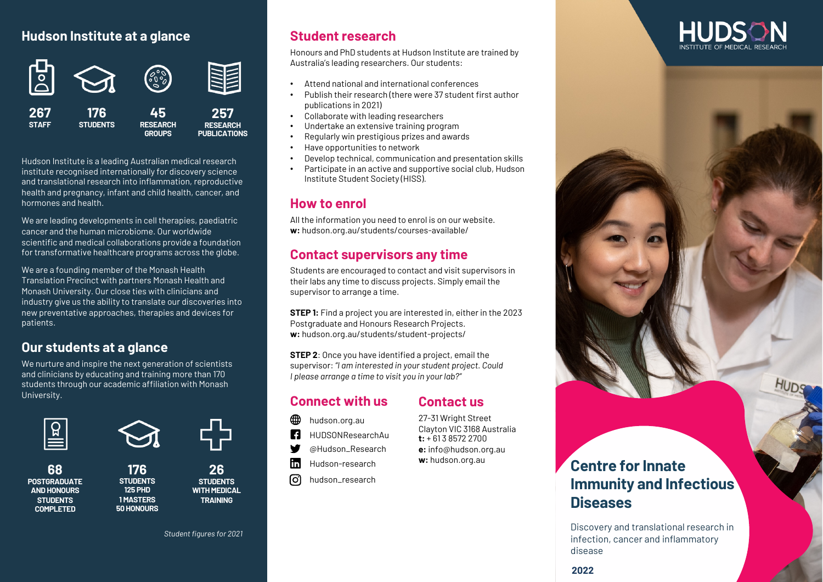## **Hudson Institute at a glance**



Hudson Institute is a leading Australian medical research institute recognised internationally for discovery science and translational research into inflammation, reproductive health and pregnancy, infant and child health, cancer, and hormones and health.

We are leading developments in cell therapies, paediatric cancer and the human microbiome. Our worldwide scientific and medical collaborations provide a foundation for transformative healthcare programs across the globe.

We are a founding member of the Monash Health Translation Precinct with partners Monash Health and Monash University. Our close ties with clinicians and industry give us the ability to translate our discoveries into new preventative approaches, therapies and devices for patients.

## **Our students at a glance**

We nurture and inspire the next generation of scientists and clinicians by educating and training more than 170 students through our academic affiliation with Monash University.



**68**

**POSTGRADUATE AND HONOURS STUDENTS COMPLETED**



**176 STUDENTS 125 PHD 1 MASTERS 50 HONOURS**

**26 STUDENTS WITH MEDICAL TRAINING**

*Student figures for 2021*

## **Student research**

Honours and PhD students at Hudson Institute are trained by Australia's leading researchers. Our students:

- Attend national and international conferences
- Publish their research (there were 37 student first author publications in 2021)
- Collaborate with leading researchers
- Undertake an extensive training program
- Regularly win prestigious prizes and awards
- Have opportunities to network
- Develop technical, communication and presentation skills
- Participate in an active and supportive social club, Hudson Institute Student Society (HISS).

## **How to enrol**

All the information you need to enrol is on our website. **w:** hudson.org.au/students/courses-available/

## **Contact supervisors any time**

Students are encouraged to contact and visit supervisors in their labs any time to discuss projects. Simply email the supervisor to arrange a time.

**STEP 1:** Find a project you are interested in, either in the 2023 Postgraduate and Honours Research Projects. **w:** hudson.org.au/students/student-projects/

**STEP 2**: Once you have identified a project, email the supervisor: *"I am interested in your student project. Could I please arrange a time to visit you in your lab?"*

## **Connect with us**

## **Contact us** 27-31 Wright Street

Clayton VIC 3168 Australia **t:** + 61 3 8572 2700 **e:** info@hudson.org.au **w:** hudson.org.au

- ∰ hudson.org.au
- **R** HUDSONResearchAu
- ₩ @Hudson\_Research
- lin. Hudson-research
- ୮୦ hudson\_research



# **Immunity and Infectious Diseases**

Discovery and translational research in infection, cancer and inflammatory disease

**2022**